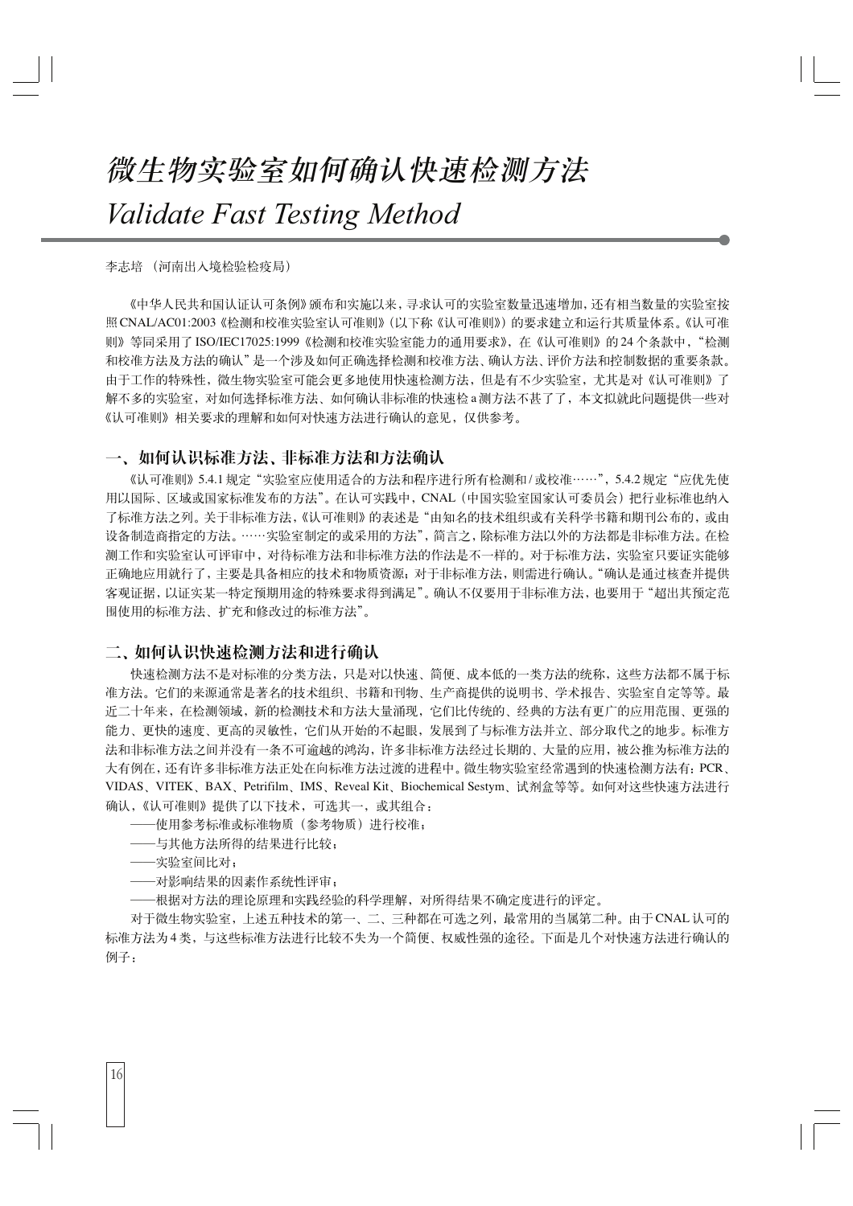# 微生物实验室如何确认快速检测方法 Validate Fast Testing Method

#### 李志培 (河南出入境检验检疫局)

《中华人民共和国认证认可条例》颁布和实施以来,寻求认可的实验室数量迅速增加,还有相当数量的实验室按 照 CNAL/AC01:2003《检测和校准实验室认可准则》(以下称《认可准则》) 的要求建立和运行其质量体系。《认可准 则》等同采用了ISO/IEC17025:1999《桧测和校准实验室能力的通用要求》,在《认可准则》的24个条款中,"检测 和校准方法及方法的确认"是一个涉及如何正确选择检测和校准方法、确认方法、评价方法和控制数据的重要条款。 由于工作的特殊性, 微生物实验室可能会更多地使用快速检测方法, 但是有不少实验室, 尤其是对《认可准则》了 解不多的实验室,对如何选择标准方法、如何确认非标准的快速检a测方法不甚了了,本文拟就此问题提供一些对 《认可准则》相关要求的理解和如何对快速方法进行确认的意见, 仅供参考。

### 一、如何认识标准方法、非标准方法和方法确认

《认可准则》5.4.1 规定"实验室应使用适合的方法和程序进行所有检测和/或校准……", 5.4.2 规定"应优先使 用以国际、区域或国家标准发布的方法"。在认可实践中,CNAL(中国实验室国家认可委员会)把行业标准也纳入 了标准方法之列。关于非标准方法,《认可准则》的表述是"由知名的技术组织或有关科学书籍和期刊公布的,或由 设备制造商指定的方法。……实验室制定的或采用的方法",简言之,除标准方法以外的方法都是非标准方法。在检 测工作和实验室认可评审中, 对待标准方法和非标准方法的作法是不一样的。对于标准方法, 实验室只要证实能够 正确地应用就行了,主要是具备相应的技术和物质资源;对于非标准方法,则需进行确认。"确认是通过核查并提供 客观证据,以证实某一特定预期用途的特殊要求得到满足"。确认不仅要用于非标准方法,也要用于"超出其预定范 围使用的标准方法、扩充和修改过的标准方法"。

### 二、如何认识快速检测方法和进行确认

快速检测方法不是对标准的分类方法, 只是对以快速、简便、成本低的一类方法的统称, 这些方法都不属于标 准方法。它们的来源通常是著名的技术组织、书籍和刊物、生产商提供的说明书、学术报告、实验室自定等等。最 近二十年来, 在检测领域, 新的检测技术和方法大量涌现, 它们比传统的、经典的方法有更广的应用范围、更强的 能力、更快的速度、更高的灵敏性, 它们从开始的不起眼, 发展到了与标准方法并立、部分取代之的地步。标准方 法和非标准方法之间并没有一条不可逾越的鸿沟,许多非标准方法经过长期的、大量的应用,被公推为标准方法的 大有例在,还有许多非标准方法正处在向标准方法过渡的进程中。微生物实验室经常遇到的快速检测方法有: PCR、 VIDAS、VITEK、BAX、Petrifilm、IMS、Reveal Kit、Biochemical Sestym、试剂盒等等。如何对这些快速方法进行 确认,《认可准则》提供了以下技术,可选其一,或其组合:

- ——使用参考标准或标准物质(参考物质)讲行校准:
- ——与其他方法所得的结果进行比较;
- 一实验室间比对;

16

- 一对影响结果的因素作系统性评审;
- 一根据对方法的理论原理和实践经验的科学理解,对所得结果不确定度进行的评定。

对于微生物实验室,上述五种技术的第一、二、三种都在可选之列,最常用的当属第二种。由于CNAL认可的 标准方法为4类, 与这些标准方法进行比较不失为一个简便、权威性强的涂径。下面是几个对快速方法进行确认的 例子: